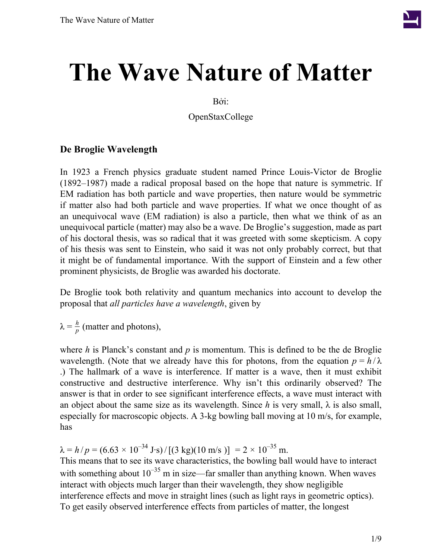

# **The Wave Nature of Matter**

Bởi:

OpenStaxCollege

#### **De Broglie Wavelength**

In 1923 a French physics graduate student named Prince Louis-Victor de Broglie (1892–1987) made a radical proposal based on the hope that nature is symmetric. If EM radiation has both particle and wave properties, then nature would be symmetric if matter also had both particle and wave properties. If what we once thought of as an unequivocal wave (EM radiation) is also a particle, then what we think of as an unequivocal particle (matter) may also be a wave. De Broglie's suggestion, made as part of his doctoral thesis, was so radical that it was greeted with some skepticism. A copy of his thesis was sent to Einstein, who said it was not only probably correct, but that it might be of fundamental importance. With the support of Einstein and a few other prominent physicists, de Broglie was awarded his doctorate.

De Broglie took both relativity and quantum mechanics into account to develop the proposal that *all particles have a wavelength*, given by

 $λ = \frac{h}{n}$  $\frac{n}{p}$  (matter and photons),

where *h* is Planck's constant and *p* is momentum. This is defined to be the de Broglie wavelength. (Note that we already have this for photons, from the equation  $p = h/\lambda$ .) The hallmark of a wave is interference. If matter is a wave, then it must exhibit constructive and destructive interference. Why isn't this ordinarily observed? The answer is that in order to see significant interference effects, a wave must interact with an object about the same size as its wavelength. Since *h* is very small,  $\lambda$  is also small, especially for macroscopic objects. A 3-kg bowling ball moving at 10 m/s, for example, has

 $\lambda = h/p = (6.63 \times 10^{-34} \text{ J} \cdot \text{s}) / [(3 \text{ kg})(10 \text{ m/s})] = 2 \times 10^{-35} \text{ m}.$ This means that to see its wave characteristics, the bowling ball would have to interact with something about  $10^{-35}$  m in size—far smaller than anything known. When waves interact with objects much larger than their wavelength, they show negligible interference effects and move in straight lines (such as light rays in geometric optics). To get easily observed interference effects from particles of matter, the longest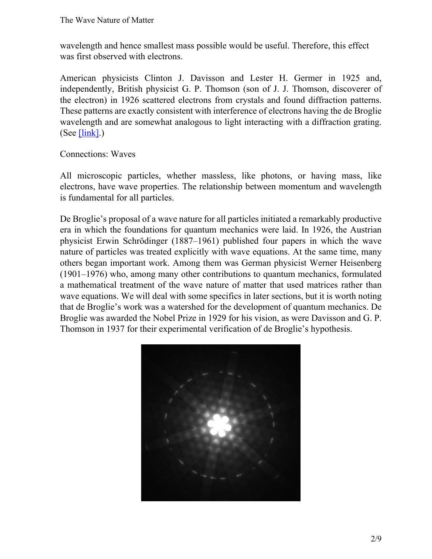wavelength and hence smallest mass possible would be useful. Therefore, this effect was first observed with electrons.

American physicists Clinton J. Davisson and Lester H. Germer in 1925 and, independently, British physicist G. P. Thomson (son of J. J. Thomson, discoverer of the electron) in 1926 scattered electrons from crystals and found diffraction patterns. These patterns are exactly consistent with interference of electrons having the de Broglie wavelength and are somewhat analogous to light interacting with a diffraction grating. (See  $[\text{link}]$ .)

Connections: Waves

All microscopic particles, whether massless, like photons, or having mass, like electrons, have wave properties. The relationship between momentum and wavelength is fundamental for all particles.

De Broglie's proposal of a wave nature for all particles initiated a remarkably productive era in which the foundations for quantum mechanics were laid. In 1926, the Austrian physicist Erwin Schrödinger (1887–1961) published four papers in which the wave nature of particles was treated explicitly with wave equations. At the same time, many others began important work. Among them was German physicist Werner Heisenberg (1901–1976) who, among many other contributions to quantum mechanics, formulated a mathematical treatment of the wave nature of matter that used matrices rather than wave equations. We will deal with some specifics in later sections, but it is worth noting that de Broglie's work was a watershed for the development of quantum mechanics. De Broglie was awarded the Nobel Prize in 1929 for his vision, as were Davisson and G. P. Thomson in 1937 for their experimental verification of de Broglie's hypothesis.

<span id="page-1-0"></span>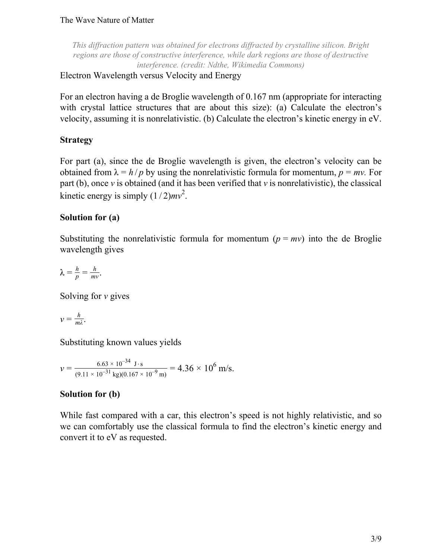*This diffraction pattern was obtained for electrons diffracted by crystalline silicon. Bright regions are those of constructive interference, while dark regions are those of destructive interference. (credit: Ndthe, Wikimedia Commons)*

Electron Wavelength versus Velocity and Energy

For an electron having a de Broglie wavelength of 0.167 nm (appropriate for interacting with crystal lattice structures that are about this size): (a) Calculate the electron's velocity, assuming it is nonrelativistic. (b) Calculate the electron's kinetic energy in eV.

## **Strategy**

For part (a), since the de Broglie wavelength is given, the electron's velocity can be obtained from  $\lambda = h/p$  by using the nonrelativistic formula for momentum,  $p = mv$ . For part (b), once  $\nu$  is obtained (and it has been verified that  $\nu$  is nonrelativistic), the classical kinetic energy is simply  $(1/2)mv^2$ .

# **Solution for (a)**

Substituting the nonrelativistic formula for momentum  $(p = mv)$  into the de Broglie wavelength gives

$$
\lambda = \frac{h}{p} = \frac{h}{mv}.
$$

Solving for *v* gives

$$
v=\frac{h}{m\lambda}.
$$

Substituting known values yields

 $v = \frac{6.63 \times 10^{-34} \text{ J} \cdot \text{s}}{(9.11 \times 10^{-31} \text{ J} \cdot \text{s})(9.167 \text{ m})}$  $\frac{6.63 \times 10^{-34} \text{ J} \cdot \text{s}}{(9.11 \times 10^{-31} \text{ kg})(0.167 \times 10^{-9} \text{ m})} = 4.36 \times 10^{6} \text{ m/s}.$ 

# **Solution for (b)**

While fast compared with a car, this electron's speed is not highly relativistic, and so we can comfortably use the classical formula to find the electron's kinetic energy and convert it to eV as requested.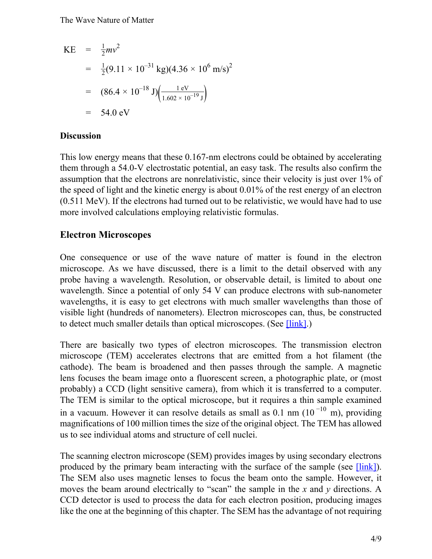KE = 
$$
\frac{1}{2}mv^2
$$
  
\n=  $\frac{1}{2}(9.11 \times 10^{-31} \text{ kg})(4.36 \times 10^6 \text{ m/s})^2$   
\n=  $(86.4 \times 10^{-18} \text{ J})\left(\frac{1 \text{ eV}}{1.602 \times 10^{-19} \text{ J}}\right)$   
\n= 54.0 eV

#### **Discussion**

This low energy means that these 0.167-nm electrons could be obtained by accelerating them through a 54.0-V electrostatic potential, an easy task. The results also confirm the assumption that the electrons are nonrelativistic, since their velocity is just over 1% of the speed of light and the kinetic energy is about 0.01% of the rest energy of an electron (0.511 MeV). If the electrons had turned out to be relativistic, we would have had to use more involved calculations employing relativistic formulas.

#### **Electron Microscopes**

One consequence or use of the wave nature of matter is found in the electron microscope. As we have discussed, there is a limit to the detail observed with any probe having a wavelength. Resolution, or observable detail, is limited to about one wavelength. Since a potential of only 54 V can produce electrons with sub-nanometer wavelengths, it is easy to get electrons with much smaller wavelengths than those of visible light (hundreds of nanometers). Electron microscopes can, thus, be constructed to detect much smaller details than optical microscopes. (See [\[link\]](#page-4-0).)

There are basically two types of electron microscopes. The transmission electron microscope (TEM) accelerates electrons that are emitted from a hot filament (the cathode). The beam is broadened and then passes through the sample. A magnetic lens focuses the beam image onto a fluorescent screen, a photographic plate, or (most probably) a CCD (light sensitive camera), from which it is transferred to a computer. The TEM is similar to the optical microscope, but it requires a thin sample examined in a vacuum. However it can resolve details as small as 0.1 nm  $(10^{-10}$  m), providing magnifications of 100 million times the size of the original object. The TEM has allowed us to see individual atoms and structure of cell nuclei.

The scanning electron microscope (SEM) provides images by using secondary electrons produced by the primary beam interacting with the surface of the sample (see [\[link\]\)](#page-4-0). The SEM also uses magnetic lenses to focus the beam onto the sample. However, it moves the beam around electrically to "scan" the sample in the *x* and *y* directions. A CCD detector is used to process the data for each electron position, producing images like the one at the beginning of this chapter. The SEM has the advantage of not requiring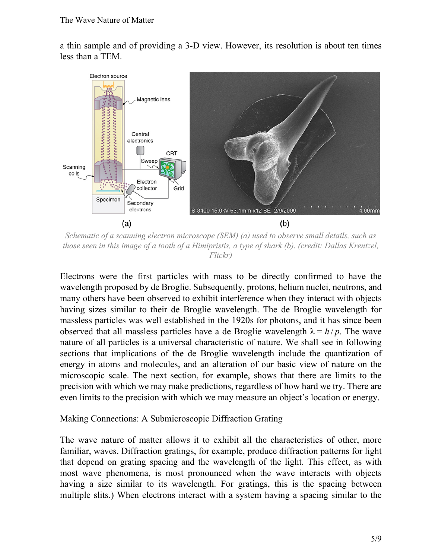a thin sample and of providing a 3-D view. However, its resolution is about ten times less than a TEM.

<span id="page-4-0"></span>

*Schematic of a scanning electron microscope (SEM) (a) used to observe small details, such as those seen in this image of a tooth of a Himipristis, a type of shark (b). (credit: Dallas Krentzel, Flickr)*

Electrons were the first particles with mass to be directly confirmed to have the wavelength proposed by de Broglie. Subsequently, protons, helium nuclei, neutrons, and many others have been observed to exhibit interference when they interact with objects having sizes similar to their de Broglie wavelength. The de Broglie wavelength for massless particles was well established in the 1920s for photons, and it has since been observed that all massless particles have a de Broglie wavelength  $\lambda = h/p$ . The wave nature of all particles is a universal characteristic of nature. We shall see in following sections that implications of the de Broglie wavelength include the quantization of energy in atoms and molecules, and an alteration of our basic view of nature on the microscopic scale. The next section, for example, shows that there are limits to the precision with which we may make predictions, regardless of how hard we try. There are even limits to the precision with which we may measure an object's location or energy.

#### Making Connections: A Submicroscopic Diffraction Grating

The wave nature of matter allows it to exhibit all the characteristics of other, more familiar, waves. Diffraction gratings, for example, produce diffraction patterns for light that depend on grating spacing and the wavelength of the light. This effect, as with most wave phenomena, is most pronounced when the wave interacts with objects having a size similar to its wavelength. For gratings, this is the spacing between multiple slits.) When electrons interact with a system having a spacing similar to the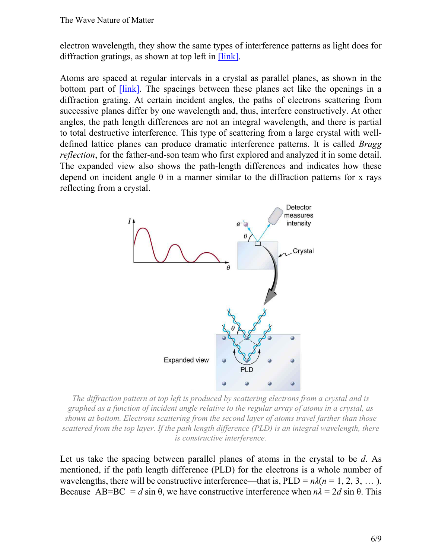electron wavelength, they show the same types of interference patterns as light does for diffraction gratings, as shown at top left in [\[link\]](#page-5-0).

Atoms are spaced at regular intervals in a crystal as parallel planes, as shown in the bottom part of <u>[link]</u>. The spacings between these planes act like the openings in a diffraction grating. At certain incident angles, the paths of electrons scattering from successive planes differ by one wavelength and, thus, interfere constructively. At other angles, the path length differences are not an integral wavelength, and there is partial to total destructive interference. This type of scattering from a large crystal with welldefined lattice planes can produce dramatic interference patterns. It is called *Bragg reflection*, for the father-and-son team who first explored and analyzed it in some detail. The expanded view also shows the path-length differences and indicates how these depend on incident angle  $\theta$  in a manner similar to the diffraction patterns for x rays reflecting from a crystal.

<span id="page-5-0"></span>

*The diffraction pattern at top left is produced by scattering electrons from a crystal and is graphed as a function of incident angle relative to the regular array of atoms in a crystal, as shown at bottom. Electrons scattering from the second layer of atoms travel farther than those scattered from the top layer. If the path length difference (PLD) is an integral wavelength, there is constructive interference.*

Let us take the spacing between parallel planes of atoms in the crystal to be *d*. As mentioned, if the path length difference (PLD) for the electrons is a whole number of wavelengths, there will be constructive interference—that is,  $PLD = n\lambda(n = 1, 2, 3, ...).$ Because AB=BC = *d* sin  $\theta$ , we have constructive interference when  $n\lambda = 2d \sin \theta$ . This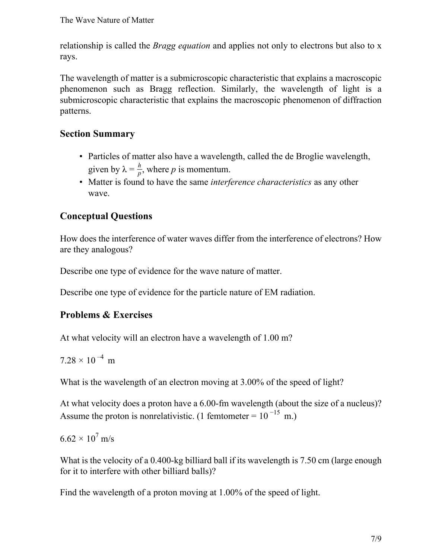relationship is called the *Bragg equation* and applies not only to electrons but also to x rays.

The wavelength of matter is a submicroscopic characteristic that explains a macroscopic phenomenon such as Bragg reflection. Similarly, the wavelength of light is a submicroscopic characteristic that explains the macroscopic phenomenon of diffraction patterns.

# **Section Summary**

- Particles of matter also have a wavelength, called the de Broglie wavelength, given by  $\lambda = \frac{h}{n}$  $\frac{n}{p}$ , where *p* is momentum.
- Matter is found to have the same *interference characteristics* as any other wave.

# **Conceptual Questions**

How does the interference of water waves differ from the interference of electrons? How are they analogous?

Describe one type of evidence for the wave nature of matter.

Describe one type of evidence for the particle nature of EM radiation.

## **Problems & Exercises**

At what velocity will an electron have a wavelength of 1.00 m?

$$
7.28\times10^{-4}\ \text{m}
$$

What is the wavelength of an electron moving at 3.00% of the speed of light?

At what velocity does a proton have a 6.00-fm wavelength (about the size of a nucleus)? Assume the proton is nonrelativistic. (1 femtometer =  $10^{-15}$  m.)

6.62  $\times$  10<sup>7</sup> m/s

What is the velocity of a 0.400-kg billiard ball if its wavelength is 7.50 cm (large enough for it to interfere with other billiard balls)?

Find the wavelength of a proton moving at 1.00% of the speed of light.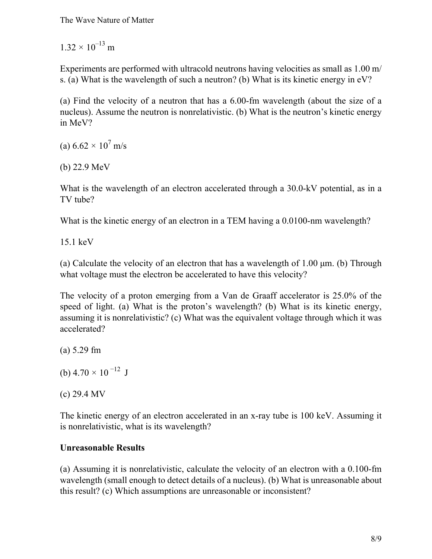$1.32 \times 10^{-13}$  m

Experiments are performed with ultracold neutrons having velocities as small as 1.00 m/ s. (a) What is the wavelength of such a neutron? (b) What is its kinetic energy in eV?

(a) Find the velocity of a neutron that has a 6.00-fm wavelength (about the size of a nucleus). Assume the neutron is nonrelativistic. (b) What is the neutron's kinetic energy in MeV?

(a)  $6.62 \times 10^7$  m/s

(b) 22.9 MeV

What is the wavelength of an electron accelerated through a 30.0-kV potential, as in a TV tube?

What is the kinetic energy of an electron in a TEM having a 0.0100-nm wavelength?

15.1 keV

(a) Calculate the velocity of an electron that has a wavelength of 1.00 μm. (b) Through what voltage must the electron be accelerated to have this velocity?

The velocity of a proton emerging from a Van de Graaff accelerator is 25.0% of the speed of light. (a) What is the proton's wavelength? (b) What is its kinetic energy, assuming it is nonrelativistic? (c) What was the equivalent voltage through which it was accelerated?

(a) 5.29 fm

(b)  $4.70 \times 10^{-12}$  J

(c) 29.4 MV

The kinetic energy of an electron accelerated in an x-ray tube is 100 keV. Assuming it is nonrelativistic, what is its wavelength?

## **Unreasonable Results**

(a) Assuming it is nonrelativistic, calculate the velocity of an electron with a 0.100-fm wavelength (small enough to detect details of a nucleus). (b) What is unreasonable about this result? (c) Which assumptions are unreasonable or inconsistent?